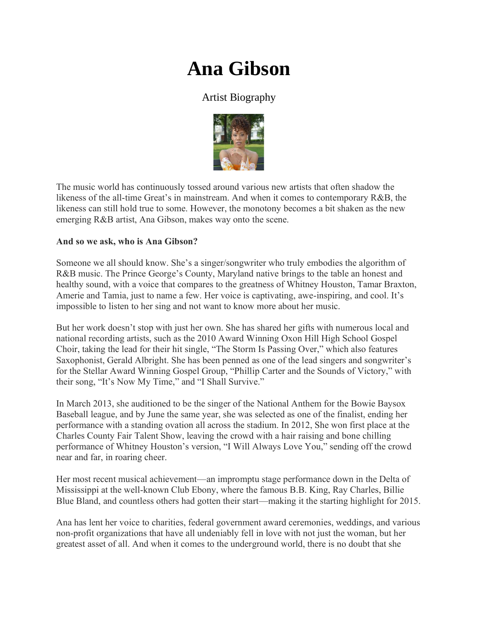## **Ana Gibson**

## Artist Biography



The music world has continuously tossed around various new artists that often shadow the likeness of the all-time Great's in mainstream. And when it comes to contemporary R&B, the likeness can still hold true to some. However, the monotony becomes a bit shaken as the new emerging R&B artist, Ana Gibson, makes way onto the scene.

## **And so we ask, who is Ana Gibson?**

Someone we all should know. She's a singer/songwriter who truly embodies the algorithm of R&B music. The Prince George's County, Maryland native brings to the table an honest and healthy sound, with a voice that compares to the greatness of Whitney Houston, Tamar Braxton, Amerie and Tamia, just to name a few. Her voice is captivating, awe-inspiring, and cool. It's impossible to listen to her sing and not want to know more about her music.

But her work doesn't stop with just her own. She has shared her gifts with numerous local and national recording artists, such as the 2010 Award Winning Oxon Hill High School Gospel Choir, taking the lead for their hit single, "The Storm Is Passing Over," which also features Saxophonist, Gerald Albright. She has been penned as one of the lead singers and songwriter's for the Stellar Award Winning Gospel Group, "Phillip Carter and the Sounds of Victory," with their song, "It's Now My Time," and "I Shall Survive."

In March 2013, she auditioned to be the singer of the National Anthem for the Bowie Baysox Baseball league, and by June the same year, she was selected as one of the finalist, ending her performance with a standing ovation all across the stadium. In 2012, She won first place at the Charles County Fair Talent Show, leaving the crowd with a hair raising and bone chilling performance of Whitney Houston's version, "I Will Always Love You," sending off the crowd near and far, in roaring cheer.

Her most recent musical achievement—an impromptu stage performance down in the Delta of Mississippi at the well-known Club Ebony, where the famous B.B. King, Ray Charles, Billie Blue Bland, and countless others had gotten their start—making it the starting highlight for 2015.

Ana has lent her voice to charities, federal government award ceremonies, weddings, and various non-profit organizations that have all undeniably fell in love with not just the woman, but her greatest asset of all. And when it comes to the underground world, there is no doubt that she